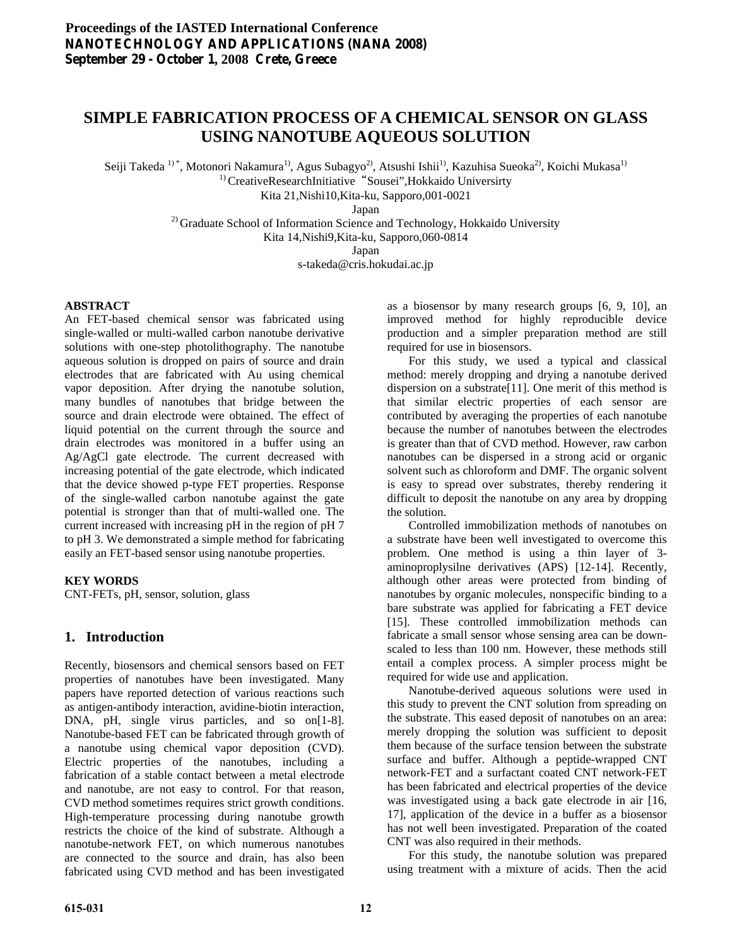# **SIMPLE FABRICATION PROCESS OF A CHEMICAL SENSOR ON GLASS USING NANOTUBE AQUEOUS SOLUTION**

Seiji Takeda <sup>1)\*</sup>, Motonori Nakamura<sup>1</sup>, Agus Subagyo<sup>2</sup>, Atsushi Ishii<sup>1</sup>, Kazuhisa Sueoka<sup>2</sup>, Koichi Mukasa<sup>1)</sup><br><sup>1)</sup> CreativeResearchInitiative "Sousei",Hokkaido Universirty

Kita 21,Nishi10,Kita-ku, Sapporo,001-0021

Japan

<sup>2)</sup> Graduate School of Information Science and Technology, Hokkaido University Kita 14,Nishi9,Kita-ku, Sapporo,060-0814

Japan

s-takeda@cris.hokudai.ac.jp

## **ABSTRACT**

An FET-based chemical sensor was fabricated using single-walled or multi-walled carbon nanotube derivative solutions with one-step photolithography. The nanotube aqueous solution is dropped on pairs of source and drain electrodes that are fabricated with Au using chemical vapor deposition. After drying the nanotube solution, many bundles of nanotubes that bridge between the source and drain electrode were obtained. The effect of liquid potential on the current through the source and drain electrodes was monitored in a buffer using an Ag/AgCl gate electrode. The current decreased with increasing potential of the gate electrode, which indicated that the device showed p-type FET properties. Response of the single-walled carbon nanotube against the gate potential is stronger than that of multi-walled one. The current increased with increasing pH in the region of pH 7 to pH 3. We demonstrated a simple method for fabricating easily an FET-based sensor using nanotube properties.

## **KEY WORDS**

CNT-FETs, pH, sensor, solution, glass

# **1. Introduction**

Recently, biosensors and chemical sensors based on FET properties of nanotubes have been investigated. Many papers have reported detection of various reactions such as antigen-antibody interaction, avidine-biotin interaction, DNA, pH, single virus particles, and so on[1-8]. Nanotube-based FET can be fabricated through growth of a nanotube using chemical vapor deposition (CVD). Electric properties of the nanotubes, including a fabrication of a stable contact between a metal electrode and nanotube, are not easy to control. For that reason, CVD method sometimes requires strict growth conditions. High-temperature processing during nanotube growth restricts the choice of the kind of substrate. Although a nanotube-network FET, on which numerous nanotubes are connected to the source and drain, has also been fabricated using CVD method and has been investigated

as a biosensor by many research groups [6, 9, 10], an improved method for highly reproducible device production and a simpler preparation method are still required for use in biosensors.

 For this study, we used a typical and classical method: merely dropping and drying a nanotube derived dispersion on a substrate[11]. One merit of this method is that similar electric properties of each sensor are contributed by averaging the properties of each nanotube because the number of nanotubes between the electrodes is greater than that of CVD method. However, raw carbon nanotubes can be dispersed in a strong acid or organic solvent such as chloroform and DMF. The organic solvent is easy to spread over substrates, thereby rendering it difficult to deposit the nanotube on any area by dropping the solution.

 Controlled immobilization methods of nanotubes on a substrate have been well investigated to overcome this problem. One method is using a thin layer of 3 aminoproplysilne derivatives (APS) [12-14]. Recently, although other areas were protected from binding of nanotubes by organic molecules, nonspecific binding to a bare substrate was applied for fabricating a FET device [15]. These controlled immobilization methods can fabricate a small sensor whose sensing area can be downscaled to less than 100 nm. However, these methods still entail a complex process. A simpler process might be required for wide use and application.

 Nanotube-derived aqueous solutions were used in this study to prevent the CNT solution from spreading on the substrate. This eased deposit of nanotubes on an area: merely dropping the solution was sufficient to deposit them because of the surface tension between the substrate surface and buffer. Although a peptide-wrapped CNT network-FET and a surfactant coated CNT network-FET has been fabricated and electrical properties of the device was investigated using a back gate electrode in air [16, 17], application of the device in a buffer as a biosensor has not well been investigated. Preparation of the coated CNT was also required in their methods.

 For this study, the nanotube solution was prepared using treatment with a mixture of acids. Then the acid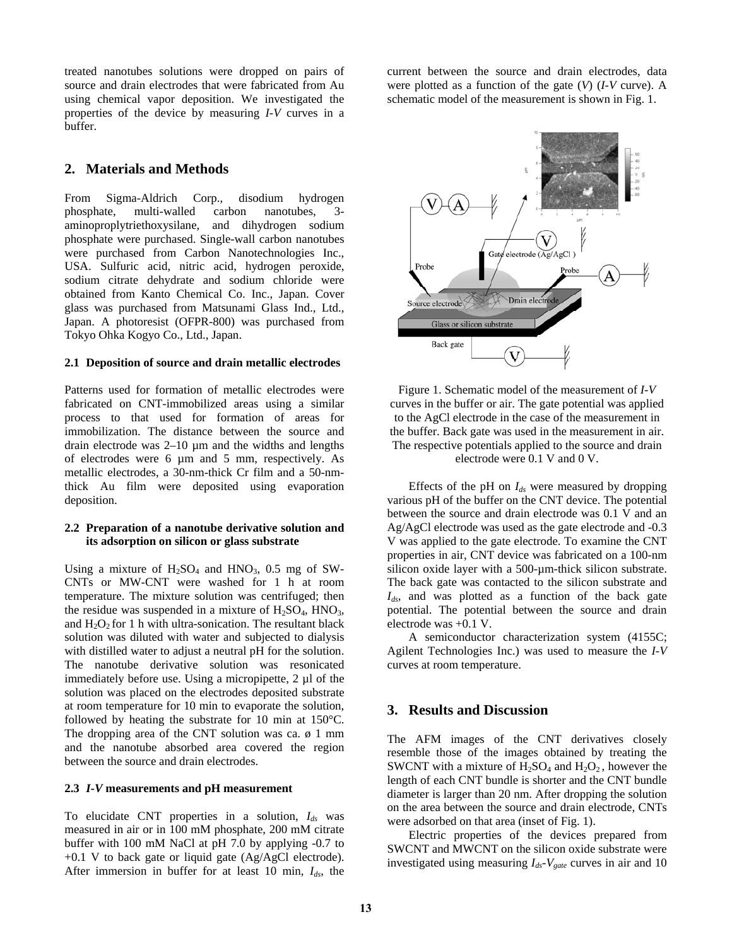treated nanotubes solutions were dropped on pairs of source and drain electrodes that were fabricated from Au using chemical vapor deposition. We investigated the properties of the device by measuring *I-V* curves in a buffer.

## **2. Materials and Methods**

From Sigma-Aldrich Corp., disodium hydrogen phosphate, multi-walled carbon nanotubes, 3 aminoproplytriethoxysilane, and dihydrogen sodium phosphate were purchased. Single-wall carbon nanotubes were purchased from Carbon Nanotechnologies Inc., USA. Sulfuric acid, nitric acid, hydrogen peroxide, sodium citrate dehydrate and sodium chloride were obtained from Kanto Chemical Co. Inc., Japan. Cover glass was purchased from Matsunami Glass Ind., Ltd., Japan. A photoresist (OFPR-800) was purchased from Tokyo Ohka Kogyo Co., Ltd., Japan.

#### **2.1 Deposition of source and drain metallic electrodes**

Patterns used for formation of metallic electrodes were fabricated on CNT-immobilized areas using a similar process to that used for formation of areas for immobilization. The distance between the source and drain electrode was 2–10 µm and the widths and lengths of electrodes were 6 µm and 5 mm, respectively. As metallic electrodes, a 30-nm-thick Cr film and a 50-nmthick Au film were deposited using evaporation deposition.

#### **2.2 Preparation of a nanotube derivative solution and its adsorption on silicon or glass substrate**

Using a mixture of  $H_2SO_4$  and  $HNO_3$ , 0.5 mg of SW-CNTs or MW-CNT were washed for 1 h at room temperature. The mixture solution was centrifuged; then the residue was suspended in a mixture of  $H_2SO_4$ ,  $HNO_3$ , and  $H_2O_2$  for 1 h with ultra-sonication. The resultant black solution was diluted with water and subjected to dialysis with distilled water to adjust a neutral pH for the solution. The nanotube derivative solution was resonicated immediately before use. Using a micropipette, 2 µl of the solution was placed on the electrodes deposited substrate at room temperature for 10 min to evaporate the solution, followed by heating the substrate for 10 min at 150°C. The dropping area of the CNT solution was ca.  $\phi$  1 mm and the nanotube absorbed area covered the region between the source and drain electrodes.

#### **2.3** *I-V* **measurements and pH measurement**

To elucidate CNT properties in a solution, *Ids* was measured in air or in 100 mM phosphate, 200 mM citrate buffer with 100 mM NaCl at pH 7.0 by applying -0.7 to +0.1 V to back gate or liquid gate (Ag/AgCl electrode). After immersion in buffer for at least 10 min, *Ids*, the current between the source and drain electrodes, data were plotted as a function of the gate (*V*) (*I-V* curve). A schematic model of the measurement is shown in Fig. 1.



Figure 1. Schematic model of the measurement of *I-V* curves in the buffer or air. The gate potential was applied to the AgCl electrode in the case of the measurement in the buffer. Back gate was used in the measurement in air. The respective potentials applied to the source and drain electrode were 0.1 V and 0 V.

Effects of the pH on  $I_{ds}$  were measured by dropping various pH of the buffer on the CNT device. The potential between the source and drain electrode was 0.1 V and an Ag/AgCl electrode was used as the gate electrode and -0.3 V was applied to the gate electrode. To examine the CNT properties in air, CNT device was fabricated on a 100-nm silicon oxide layer with a 500-µm-thick silicon substrate. The back gate was contacted to the silicon substrate and *Ids*, and was plotted as a function of the back gate potential. The potential between the source and drain electrode was +0.1 V.

 A semiconductor characterization system (4155C; Agilent Technologies Inc.) was used to measure the *I-V* curves at room temperature.

# **3. Results and Discussion**

The AFM images of the CNT derivatives closely resemble those of the images obtained by treating the SWCNT with a mixture of  $H_2SO_4$  and  $H_2O_2$ , however the length of each CNT bundle is shorter and the CNT bundle diameter is larger than 20 nm. After dropping the solution on the area between the source and drain electrode, CNTs were adsorbed on that area (inset of Fig. 1).

 Electric properties of the devices prepared from SWCNT and MWCNT on the silicon oxide substrate were investigated using measuring  $I_{ds}$ - $V_{gate}$  curves in air and 10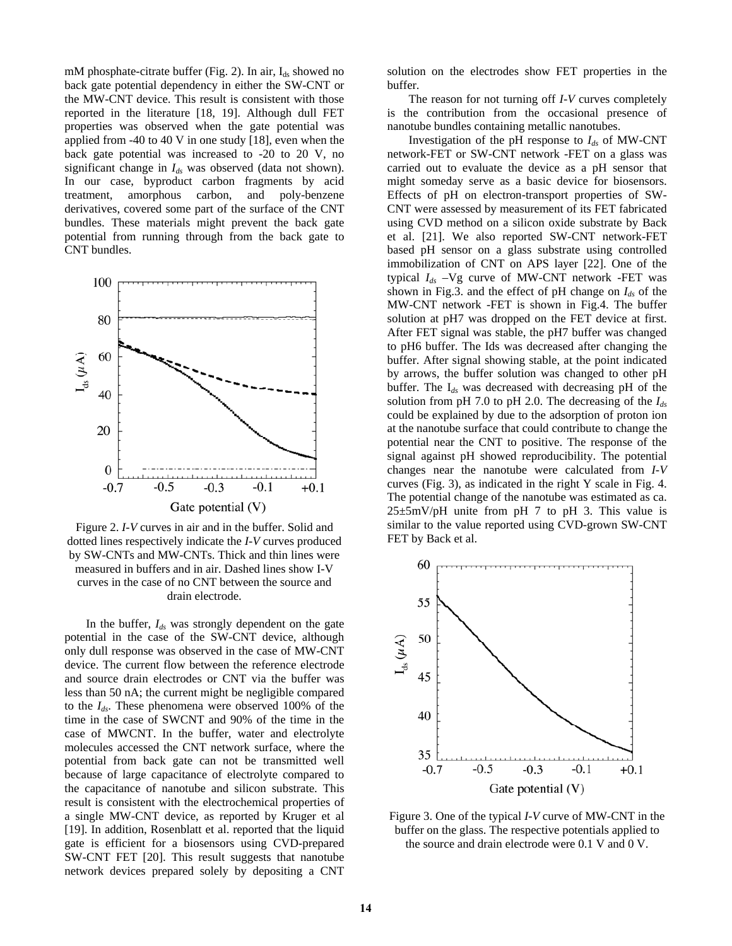mM phosphate-citrate buffer (Fig. 2). In air,  $I_{ds}$  showed no back gate potential dependency in either the SW-CNT or the MW-CNT device. This result is consistent with those reported in the literature [18, 19]. Although dull FET properties was observed when the gate potential was applied from -40 to 40 V in one study [18], even when the back gate potential was increased to -20 to 20 V, no significant change in  $I_{ds}$  was observed (data not shown). In our case, byproduct carbon fragments by acid treatment, amorphous carbon, and poly-benzene derivatives, covered some part of the surface of the CNT bundles. These materials might prevent the back gate potential from running through from the back gate to CNT bundles.



Figure 2. *I-V* curves in air and in the buffer. Solid and dotted lines respectively indicate the *I-V* curves produced by SW-CNTs and MW-CNTs. Thick and thin lines were measured in buffers and in air. Dashed lines show I-V curves in the case of no CNT between the source and drain electrode.

 In the buffer, *Ids* was strongly dependent on the gate potential in the case of the SW-CNT device, although only dull response was observed in the case of MW-CNT device. The current flow between the reference electrode and source drain electrodes or CNT via the buffer was less than 50 nA; the current might be negligible compared to the *Ids*. These phenomena were observed 100% of the time in the case of SWCNT and 90% of the time in the case of MWCNT. In the buffer, water and electrolyte molecules accessed the CNT network surface, where the potential from back gate can not be transmitted well because of large capacitance of electrolyte compared to the capacitance of nanotube and silicon substrate. This result is consistent with the electrochemical properties of a single MW-CNT device, as reported by Kruger et al [19]. In addition, Rosenblatt et al. reported that the liquid gate is efficient for a biosensors using CVD-prepared SW-CNT FET [20]. This result suggests that nanotube network devices prepared solely by depositing a CNT

solution on the electrodes show FET properties in the buffer.

 The reason for not turning off *I-V* curves completely is the contribution from the occasional presence of nanotube bundles containing metallic nanotubes.

Investigation of the pH response to  $I_{ds}$  of MW-CNT network-FET or SW-CNT network -FET on a glass was carried out to evaluate the device as a pH sensor that might someday serve as a basic device for biosensors. Effects of pH on electron-transport properties of SW-CNT were assessed by measurement of its FET fabricated using CVD method on a silicon oxide substrate by Back et al. [21]. We also reported SW-CNT network-FET based pH sensor on a glass substrate using controlled immobilization of CNT on APS layer [22]. One of the typical *Ids* –Vg curve of MW-CNT network -FET was shown in Fig.3. and the effect of pH change on  $I_{ds}$  of the MW-CNT network -FET is shown in Fig.4. The buffer solution at pH7 was dropped on the FET device at first. After FET signal was stable, the pH7 buffer was changed to pH6 buffer. The Ids was decreased after changing the buffer. After signal showing stable, at the point indicated by arrows, the buffer solution was changed to other pH buffer. The I*ds* was decreased with decreasing pH of the solution from pH 7.0 to pH 2.0. The decreasing of the *Ids* could be explained by due to the adsorption of proton ion at the nanotube surface that could contribute to change the potential near the CNT to positive. The response of the signal against pH showed reproducibility. The potential changes near the nanotube were calculated from *I-V*  curves (Fig. 3), as indicated in the right Y scale in Fig. 4. The potential change of the nanotube was estimated as ca.  $25\pm5$ mV/pH unite from pH 7 to pH 3. This value is similar to the value reported using CVD-grown SW-CNT FET by Back et al.



Figure 3. One of the typical *I-V* curve of MW-CNT in the buffer on the glass. The respective potentials applied to the source and drain electrode were 0.1 V and 0 V.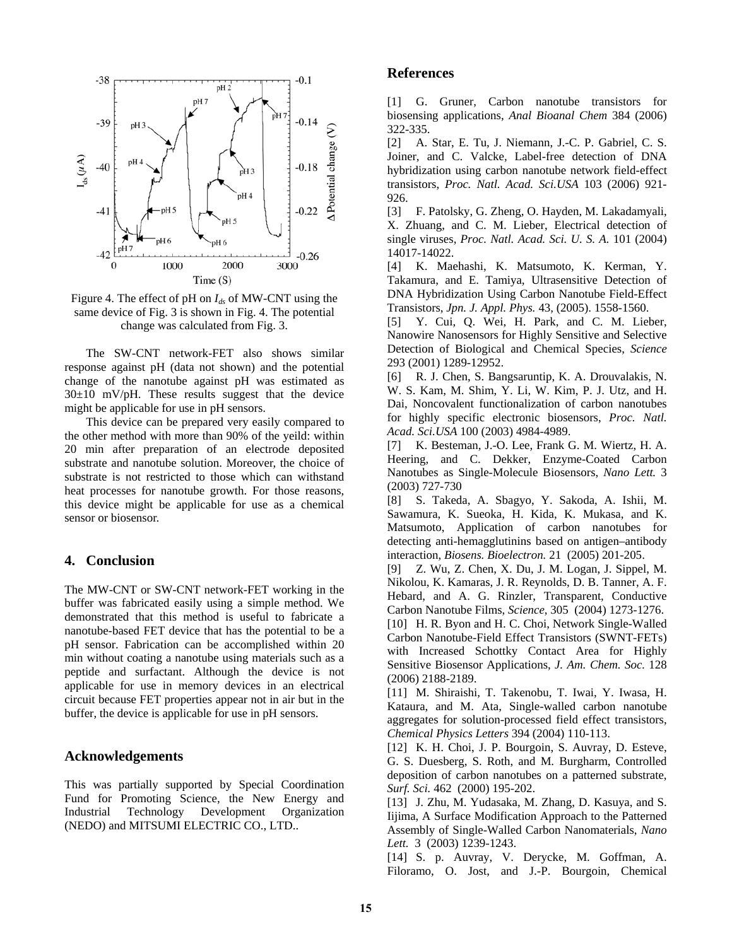

Figure 4. The effect of pH on  $I_{ds}$  of MW-CNT using the same device of Fig. 3 is shown in Fig. 4. The potential change was calculated from Fig. 3.

 The SW-CNT network-FET also shows similar response against pH (data not shown) and the potential change of the nanotube against pH was estimated as  $30±10$  mV/pH. These results suggest that the device might be applicable for use in pH sensors.

 This device can be prepared very easily compared to the other method with more than 90% of the yeild: within 20 min after preparation of an electrode deposited substrate and nanotube solution. Moreover, the choice of substrate is not restricted to those which can withstand heat processes for nanotube growth. For those reasons, this device might be applicable for use as a chemical sensor or biosensor.

## **4. Conclusion**

The MW-CNT or SW-CNT network-FET working in the buffer was fabricated easily using a simple method. We demonstrated that this method is useful to fabricate a nanotube-based FET device that has the potential to be a pH sensor. Fabrication can be accomplished within 20 min without coating a nanotube using materials such as a peptide and surfactant. Although the device is not applicable for use in memory devices in an electrical circuit because FET properties appear not in air but in the buffer, the device is applicable for use in pH sensors.

## **Acknowledgements**

This was partially supported by Special Coordination Fund for Promoting Science, the New Energy and Industrial Technology Development Organization (NEDO) and MITSUMI ELECTRIC CO., LTD..

## **References**

[1] G. Gruner, Carbon nanotube transistors for biosensing applications, *Anal Bioanal Chem* 384 (2006) 322-335.

[2] A. Star, E. Tu, J. Niemann, J.-C. P. Gabriel, C. S. Joiner, and C. Valcke, Label-free detection of DNA hybridization using carbon nanotube network field-effect transistors, *Proc. Natl. Acad. Sci.USA* 103 (2006) 921- 926.

[3] F. Patolsky, G. Zheng, O. Hayden, M. Lakadamyali, X. Zhuang, and C. M. Lieber, Electrical detection of single viruses, *Proc. Natl. Acad. Sci. U. S. A.* 101 (2004) 14017-14022.

[4] K. Maehashi, K. Matsumoto, K. Kerman, Y. Takamura, and E. Tamiya, Ultrasensitive Detection of DNA Hybridization Using Carbon Nanotube Field-Effect Transistors, *Jpn. J. Appl. Phys.* 43, (2005). 1558-1560.

[5] Y. Cui, Q. Wei, H. Park, and C. M. Lieber, Nanowire Nanosensors for Highly Sensitive and Selective Detection of Biological and Chemical Species, *Science* 293 (2001) 1289-12952.

[6] R. J. Chen, S. Bangsaruntip, K. A. Drouvalakis, N. W. S. Kam, M. Shim, Y. Li, W. Kim, P. J. Utz, and H. Dai, Noncovalent functionalization of carbon nanotubes for highly specific electronic biosensors, *Proc. Natl. Acad. Sci.USA* 100 (2003) 4984-4989.

[7] K. Besteman, J.-O. Lee, Frank G. M. Wiertz, H. A. Heering, and C. Dekker, Enzyme-Coated Carbon Nanotubes as Single-Molecule Biosensors, *Nano Lett.* 3 (2003) 727-730

[8] S. Takeda, A. Sbagyo, Y. Sakoda, A. Ishii, M. Sawamura, K. Sueoka, H. Kida, K. Mukasa, and K. Matsumoto, Application of carbon nanotubes for detecting anti-hemagglutinins based on antigen–antibody interaction, *Biosens. Bioelectron.* 21 (2005) 201-205.

[9] Z. Wu, Z. Chen, X. Du, J. M. Logan, J. Sippel, M. Nikolou, K. Kamaras, J. R. Reynolds, D. B. Tanner, A. F. Hebard, and A. G. Rinzler, Transparent, Conductive Carbon Nanotube Films, *Science*, 305 (2004) 1273-1276. [10] H. R. Byon and H. C. Choi, Network Single-Walled Carbon Nanotube-Field Effect Transistors (SWNT-FETs) with Increased Schottky Contact Area for Highly Sensitive Biosensor Applications, *J. Am. Chem. Soc.* 128 (2006) 2188-2189.

[11] M. Shiraishi, T. Takenobu, T. Iwai, Y. Iwasa, H. Kataura, and M. Ata, Single-walled carbon nanotube aggregates for solution-processed field effect transistors, *Chemical Physics Letters* 394 (2004) 110-113.

[12] K. H. Choi, J. P. Bourgoin, S. Auvray, D. Esteve, G. S. Duesberg, S. Roth, and M. Burgharm, Controlled deposition of carbon nanotubes on a patterned substrate, *Surf. Sci.* 462 (2000) 195-202.

[13] J. Zhu, M. Yudasaka, M. Zhang, D. Kasuya, and S. Iijima, A Surface Modification Approach to the Patterned Assembly of Single-Walled Carbon Nanomaterials, *Nano Lett.* 3 (2003) 1239-1243.

[14] S. p. Auvray, V. Derycke, M. Goffman, A. Filoramo, O. Jost, and J.-P. Bourgoin, Chemical